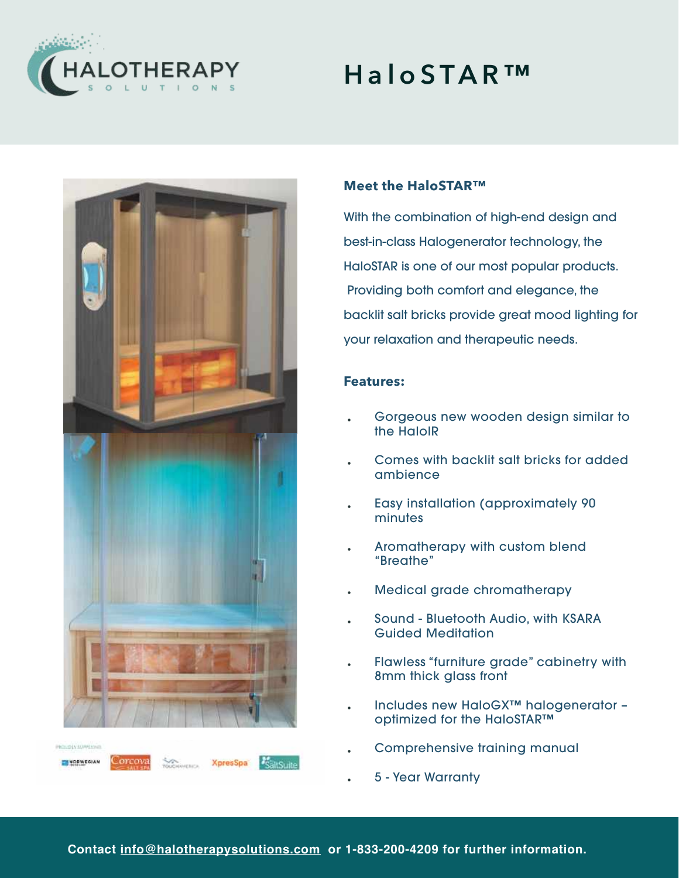

## **HaloSTAR™**



# With the combination of high-end design and

**Meet the HaloSTAR™** 

best-in-class Halogenerator technology, the HaloSTAR is one of our most popular products. Providing both comfort and elegance, the backlit salt bricks provide great mood lighting for your relaxation and therapeutic needs.

#### **Features:**

- Gorgeous new wooden design similar to the HaloIR
- Comes with backlit salt bricks for added ambience
- Easy installation (approximately 90 minutes
- Aromatherapy with custom blend "Breathe"
- Medical grade chromatherapy
- Sound Bluetooth Audio, with KSARA Guided Meditation
- Flawless "furniture grade" cabinetry with 8mm thick glass front
- Includes new HaloGX™ halogenerator optimized for the HaloSTAR™
- Comprehensive training manual
- 5 Year Warranty